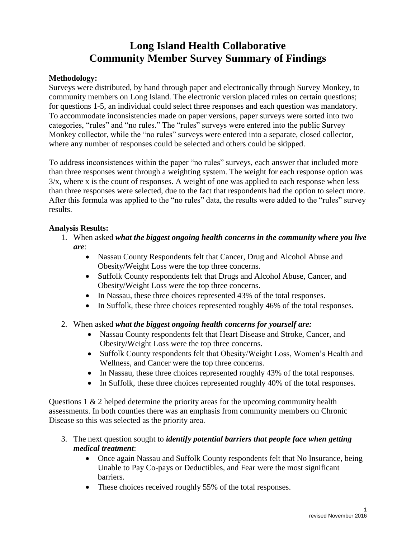## **Long Island Health Collaborative Community Member Survey Summary of Findings**

## **Methodology:**

Surveys were distributed, by hand through paper and electronically through Survey Monkey, to community members on Long Island. The electronic version placed rules on certain questions; for questions 1-5, an individual could select three responses and each question was mandatory. To accommodate inconsistencies made on paper versions, paper surveys were sorted into two categories, "rules" and "no rules." The "rules" surveys were entered into the public Survey Monkey collector, while the "no rules" surveys were entered into a separate, closed collector, where any number of responses could be selected and others could be skipped.

To address inconsistences within the paper "no rules" surveys, each answer that included more than three responses went through a weighting system. The weight for each response option was  $3/x$ , where x is the count of responses. A weight of one was applied to each response when less than three responses were selected, due to the fact that respondents had the option to select more. After this formula was applied to the "no rules" data, the results were added to the "rules" survey results.

## **Analysis Results:**

- 1. When asked *what the biggest ongoing health concerns in the community where you live are*:
	- Nassau County Respondents felt that Cancer, Drug and Alcohol Abuse and Obesity/Weight Loss were the top three concerns.
	- Suffolk County respondents felt that Drugs and Alcohol Abuse, Cancer, and Obesity/Weight Loss were the top three concerns.
	- In Nassau, these three choices represented 43% of the total responses.
	- In Suffolk, these three choices represented roughly 46% of the total responses.
- 2. When asked *what the biggest ongoing health concerns for yourself are:*
	- Nassau County respondents felt that Heart Disease and Stroke, Cancer, and Obesity/Weight Loss were the top three concerns.
	- Suffolk County respondents felt that Obesity/Weight Loss, Women's Health and Wellness, and Cancer were the top three concerns.
	- In Nassau, these three choices represented roughly 43% of the total responses.
	- In Suffolk, these three choices represented roughly 40% of the total responses.

Questions 1 & 2 helped determine the priority areas for the upcoming community health assessments. In both counties there was an emphasis from community members on Chronic Disease so this was selected as the priority area.

- 3. The next question sought to *identify potential barriers that people face when getting medical treatment*:
	- Once again Nassau and Suffolk County respondents felt that No Insurance, being Unable to Pay Co-pays or Deductibles, and Fear were the most significant barriers.
	- These choices received roughly 55% of the total responses.